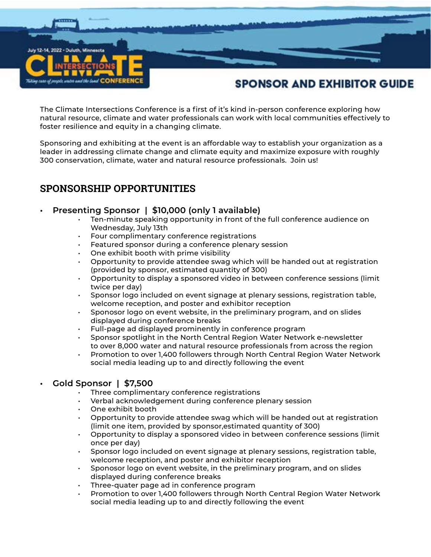

The Climate Intersections Conference is a first of it's kind in-person conference exploring how natural resource, climate and water professionals can work with local communities effectively to foster resilience and equity in a changing climate.

Sponsoring and exhibiting at the event is an affordable way to establish your organization as a leader in addressing climate change and climate equity and maximize exposure with roughly 300 conservation, climate, water and natural resource professionals. Join us!

# **SPONSORSHIP OPPORTUNITIES**

### **• Presenting Sponsor | \$10,000 (only 1 available)**

- Ten-minute speaking opportunity in front of the full conference audience on Wednesday, July 13th
- Four complimentary conference registrations
- Featured sponsor during a conference plenary session
- One exhibit booth with prime visibility
- Opportunity to provide attendee swag which will be handed out at registration (provided by sponsor, estimated quantity of 300)
- Opportunity to display a sponsored video in between conference sessions (limit twice per day)
- Sponsor logo included on event signage at plenary sessions, registration table, welcome reception, and poster and exhibitor reception
- Sponosor logo on event website, in the preliminary program, and on slides displayed during conference breaks
- Full-page ad displayed prominently in conference program
- Sponsor spotlight in the North Central Region Water Network e-newsletter to over 8,000 water and natural resource professionals from across the region
- Promotion to over 1,400 followers through North Central Region Water Network social media leading up to and directly following the event

### **• Gold Sponsor | \$7,500**

- Three complimentary conference registrations
- Verbal acknowledgement during conference plenary session
- One exhibit booth
- Opportunity to provide attendee swag which will be handed out at registration (limit one item, provided by sponsor,estimated quantity of 300)
- Opportunity to display a sponsored video in between conference sessions (limit once per day)
- Sponsor logo included on event signage at plenary sessions, registration table, welcome reception, and poster and exhibitor reception
- Sponosor logo on event website, in the preliminary program, and on slides displayed during conference breaks
- Three-quater page ad in conference program
- Promotion to over 1,400 followers through North Central Region Water Network social media leading up to and directly following the event